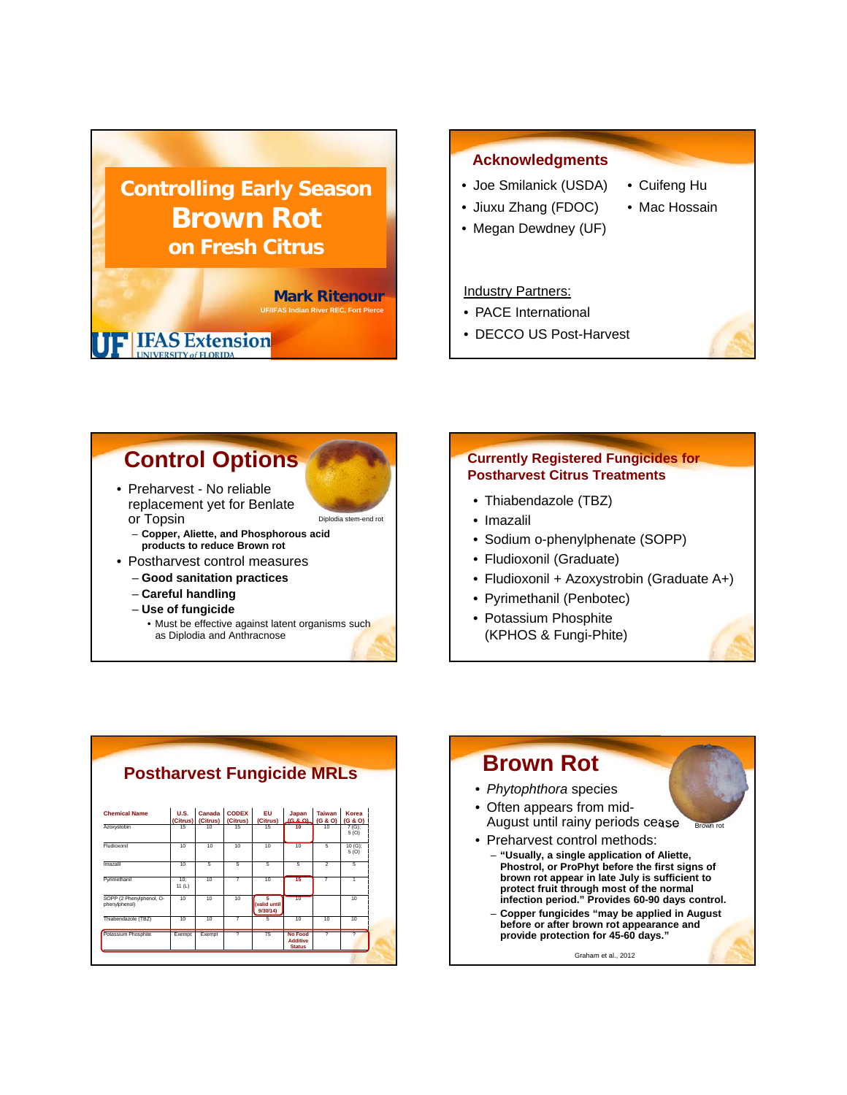

### **Acknowledgments**

- Joe Smilanick (USDA) • Jiuxu Zhang (FDOC)
- Cuifeng Hu
- Mac Hossain
- Megan Dewdney (UF)

#### Industry Partners:

- PACE International
- DECCO US Post-Harvest

# **Control Options** • Preharvest - No reliable

- replacement yet for Benlate or Topsin
	- **Copper, Aliette, and Phosphorous acid products to reduce Brown rot**
- Postharvest control measures
	- **Good sanitation practices**
	- **Careful handling**
	- **Use of fungicide**
	- Must be effective against latent organisms such as Diplodia and Anthracnose

Diplodia stem-end rot

### **Currently Registered Fungicides for Postharvest Citrus Treatments**

- Thiabendazole (TBZ)
- Imazalil
- Sodium o-phenylphenate (SOPP)
- Fludioxonil (Graduate)
- Fludioxonil + Azoxystrobin (Graduate A+)
- Pyrimethanil (Penbotec)
- Potassium Phosphite (KPHOS & Fungi-Phite)

|                                           |                  |                    |                          | <b>Postharvest Fungicide MRLs</b> |                                             |                          |                    |
|-------------------------------------------|------------------|--------------------|--------------------------|-----------------------------------|---------------------------------------------|--------------------------|--------------------|
| <b>Chemical Name</b>                      | U.S.<br>(Citrus) | Canada<br>(Citrus) | <b>CODEX</b><br>(Citrus) | EU.<br>(Citrus)                   | Japan<br>$(9.8 \Omega)$                     | <b>Taiwan</b><br>(G & O) | Korea<br>(G & O)   |
| Azoxystobin                               | 15               | 10                 | 15                       | 15                                | 10                                          | 10                       | $7(G)$ ;<br>5(0)   |
| Fludioxonil                               | 10               | 10                 | 10                       | 10                                | 10                                          | 5                        | $10 (G)$ :<br>5(0) |
| Imazalil                                  | 10               | 5                  | 5                        | 5                                 | 5                                           | $\overline{2}$           | 5                  |
| Pyrimethanil                              | 10:<br>11(L)     | 10                 | 7                        | 10 <sup>1</sup>                   | 15                                          | 7                        | 1                  |
| SOPP (2 Phenviphenol, O-<br>phenviphenol) | 10               | 10                 | 10                       | 5.<br>(valid until<br>9/30/14     | 10                                          |                          | 10                 |
| Thiabendazole (TBZ)                       | $\overline{10}$  | $\overline{10}$    | 7                        | 5                                 | $\overline{10}$                             | $\overline{10}$          | 10                 |
| Potassium Phosphite                       | Exempt           | Exempt             | $\overline{ }$           | 75                                | No Food<br><b>Additive</b><br><b>Status</b> | $\overline{ }$           | 7                  |



Graham et al., 2012